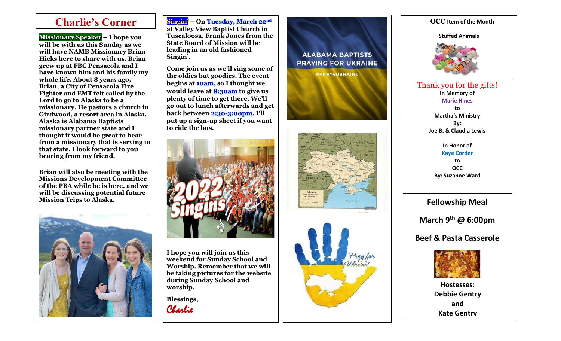$\overline{\phantom{a}}$ 

**Missionary Speaker will be with us this Sunday as we will have NAMB Missionary Brian Hicks here to share with us. Brian grew up at FBC Pensacola and I have known him and his family my whole life. About 8 years ago, Brian, a City of Pensacola Fire Fighter and EMT felt called by the Lord to go to Alaska to be a missionary. He pastors a church in Girdwood, a resort area in Alaska. Alaska is Alabama Baptists missionary partner state and I thought it would be great to hear from a missionary that is serving in that state. I look forward to you hearing from my friend.**

**Brian will also be meeting with the Missions Development Committee of the PBA while he is here, and we will be discussing potential future Mission Trips to Alaska.**



**Singin' – On Tuesday, March 22nd at Valley View Baptist Church in State Board of Mission will be leading in an old fashioned Singin'.** 

**Come join us as we'll sing some of the oldies but goodies. The event begins at 10am, so I thought we would leave at 8:30am to give us plenty of time to get there. We'll go out to lunch afterwards and get back between 2:30 -3:00pm . I'll put up a sign -up sheet if you want to ride the bus.**



**I hope you will join us this weekend for Sunday School and Worship. Remember that we will be taking pictures for the website during Sunday School and worship.** 

**Blessings,** Charlie